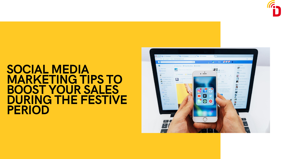# SOCIAL MEDIA MARKETING TIPS TO BOOST YOUR SALES DURING THE FESTIVE PERIOD







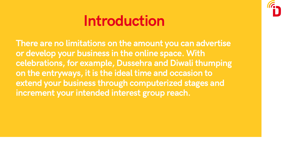# Introduction

There are no limitations on the amount you can advertise or develop your business in the online space. With celebrations, for example, Dussehra and Diwali thumping on the entryways, it is the ideal time and occasion to extend your business through computerized stages and increment your intended interest group reach.

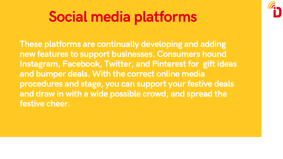These platforms are continually developing and adding new features to support businesses. Consumers hound Instagram, Facebook, Twitter, and Pinterest for gift ideas and bumper deals. With the correct online media procedures and stage, you can support your festive deals and draw in with a wide possible crowd, and spread the festive cheer.



# Social media platforms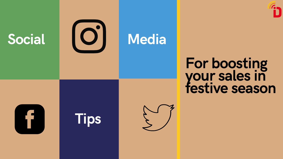Social ICOII Media



# For boosting your sales in festive season

Tips



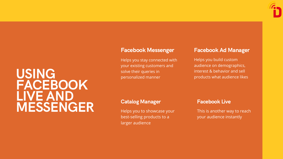# USING FACEBOOK LIVE AND MESSENGER

Helps you stay connected with your existing customers and solve their queries in personalized manner

#### Facebook Messenger

Helps you to showcase your best-selling products to a larger audience

## Catalog Manager

Helps you build custom audience on demographics, interest & behavior and sell products what audience likes

## Facebook Ad Manager

This is another way to reach your audience instantly

## Facebook Live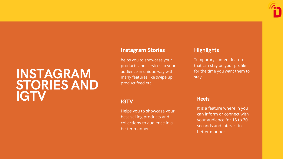# INSTAGRAM STORIES AND IGTV

helps you to showcase your products and services to your audience in unique way with many features like swipe up, product feed etc

## **IGTV**

#### Instagram Stories

Helps you to showcase your best-selling products and collections to audience in a better manner

## **Highlights**

Temporary content feature that can stay on your profile for the time you want them to stay

It is a feature where in you can inform or connect with your audience for 15 to 30 seconds and interact in better manner

#### Reels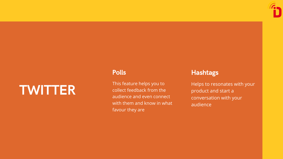# TWITTER

#### Poll s

This feature helps you to collect feedback from the audience and even connect with them and know in what favour they are



#### Ha s h t a gs

Helps to resonates with your product and start a conversation with your audience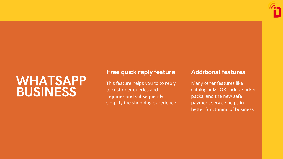# WHATSAPP BUSINESS

This feature helps you to to reply to customer queries and inquiries and subsequently simplify the shopping experience



## Free quick reply feature

Many other features like catalog links, QR codes, sticker packs, and the new safe payment service helps in better functoning of business

# Additional features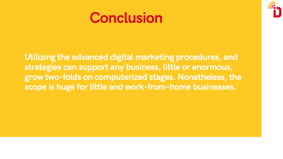# Conclusion

Utilizing the advanced digital marketing procedures, and strategies can support any business, little or enormous, grow two-folds on computerized stages. Nonetheless, the scope is huge for little and work-from-home businesses.

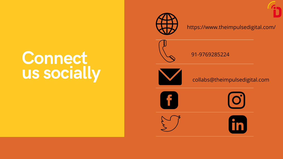# Connect us socially

## https://www.theimpulsedigital.com/





## collabs@theimpulsedigital.com